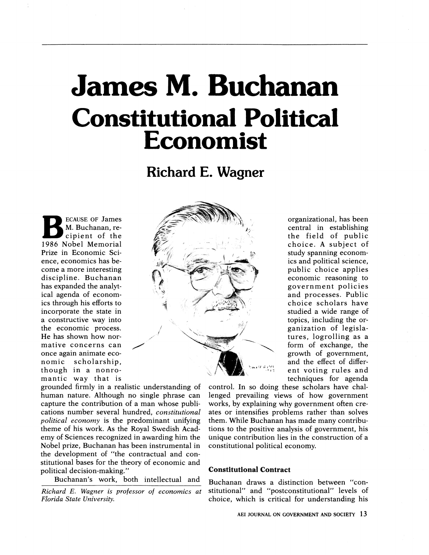# James M. Buchanan Constitutional Political Economist

Richard E. Wagner

ECAUSE OF James M. Buchanan, recipient of the 1986 Nobel Memorial Prize in Economic Science, economics has become a more interesting discipline. Buchanan has expanded the analytical agenda of economics through his efforts to incorporate the state in a constructive way into the economic process. He has shown how normative concerns can once again animate economic scholarship, though in a nonromantic way that is



grounded firmly in a realistic understanding of human nature. Although no single phrase can capture the contribution of a man whose publications number several hundred, constitutional political economy is the predominant unifying theme of his work. As the Royal Swedish Academy of Sciences recognized in awarding him the Nobel prize, Buchanan has been instrumental in the development of "the contractual and constitutional bases for the theory of economic and political decision-making."

Buchanan's work, both intellectual and

Richard E. Wagner is professor of economics at Florida State University.

organizational, has been central in establishing the field of public choice. A subject of study spanning economics and political science, public choice applies economic reasoning to government policies and processes. Public choice scholars have studied a wide range of topics, including the organization of legislatures, logrolling as a form of exchange, the growth of government, and the effect of different voting rules and techniques for agenda

control. In so doing these scholars have challenged prevailing views of how government works, by explaining why government often creates or intensifies problems rather than solves them. While Buchanan has made many contributions to the positive analysis of government, his unique contribution lies in the construction of a constitutional political economy.

# Constitutional Contract

Buchanan draws a distinction between "constitutional" and "postconstitutional" levels of choice, which is critical for understanding his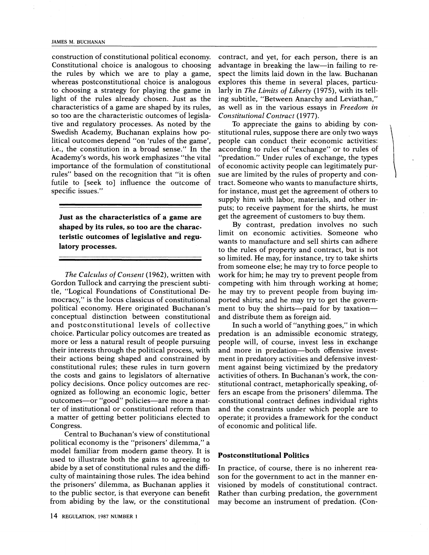#### JAMES M. BUCHANAN

construction of constitutional political economy. Constitutional choice is analogous to choosing the rules by which we are to play a game, whereas postconstitutional choice is analogous to choosing a strategy for playing the game in light of the rules already chosen. Just as the characteristics of a game are shaped by its rules, so too are the characteristic outcomes of legislative and regulatory processes. As noted by the Swedish Academy, Buchanan explains how political outcomes depend "on 'rules of the game', i.e., the constitution in a broad sense." In the Academy's words, his work emphasizes "the vital importance of the formulation of constitutional rules" based on the recognition that "it is often futile to [seek to] influence the outcome of specific issues."

Just as the characteristics of a game are shaped by its rules, so too are the characteristic outcomes of legislative and regulatory processes.

The Calculus of Consent (1962), written with Gordon Tullock and carrying the prescient subtitle, "Logical Foundations of Constitutional Democracy," is the locus classicus of constitutional political economy. Here originated Buchanan's conceptual distinction between constitutional and postconstitutional levels of collective choice. Particular policy outcomes are treated as more or less a natural result of people pursuing their interests through the political process, with their actions being shaped and constrained by constitutional rules; these rules in turn govern the costs and gains to legislators of alternative policy decisions. Once policy outcomes are recognized as following an economic logic, better outcomes-or "good" policies-are more a matter of institutional or constitutional reform than a matter of getting better politicians elected to Congress.

Central to Buchanan's view of constitutional political economy is the "prisoners' dilemma," a model familiar from modern game theory. It is used to illustrate both the gains to agreeing to abide by a set of constitutional rules and the difficulty of maintaining those rules. The idea behind the prisoners' dilemma, as Buchanan applies it to the public sector, is that everyone can benefit from abiding by the law, or the constitutional

contract, and yet, for each person, there is an advantage in breaking the law-in failing to respect the limits laid down in the law. Buchanan explores this theme in several places, particularly in *The Limits of Liberty* (1975), with its telling subtitle, "Between Anarchy and Leviathan," as well as in the various essays in Freedom in Constitutional Contract (1977).

To appreciate the gains to abiding by constitutional rules, suppose there are only two ways people can conduct their economic activities: according to rules of "exchange" or to rules of "predation." Under rules of exchange, the types of economic activity people can legitimately pursue are limited by the rules of property and contract. Someone who wants to manufacture shirts, for instance, must get the agreement of others to supply him with labor, materials, and other inputs; to receive payment for the shirts, he must get the agreement of customers to buy them.

By contrast, predation involves no such limit on economic activities. Someone who wants to manufacture and sell shirts can adhere to the rules of property and contract, but is not so limited. He may, for instance, try to take shirts from someone else; he may try to force people to work for him; he may try to prevent people from competing with him through working at home; he may try to prevent people from buying imported shirts; and he may try to get the government to buy the shirts-paid for by taxationand distribute them as foreign aid.

In such a world of "anything goes," in which predation is an admissible economic strategy, people will, of course, invest less in exchange and more in predation-both offensive investment in predatory activities and defensive investment against being victimized by the predatory activities of others. In Buchanan's work, the constitutional contract, metaphorically speaking, offers an escape from the prisoners' dilemma. The constitutional contract defines individual rights and the constraints under which people are to operate; it provides a framework for the conduct of economic and political life.

#### Postconstitutional Politics

In practice, of course, there is no inherent reason for the government to act in the manner envisioned by models of constitutional contract. Rather than curbing predation, the government may become an instrument of predation. (Con-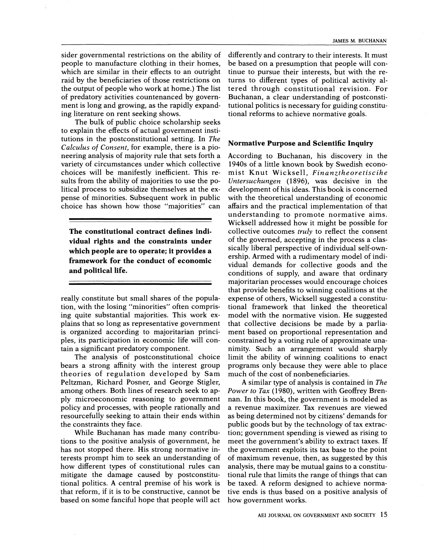sider governmental restrictions on the ability of people to manufacture clothing in their homes, which are similar in their effects to an outright raid by the beneficiaries of those restrictions on the output of people who work at home.) The list of predatory activities countenanced by government is long and growing, as the rapidly expanding literature on rent seeking shows.

The bulk of public choice scholarship seeks to explain the effects of actual government institutions in the postconstitutional setting. In The Calculus of Consent, for example, there is a pioneering analysis of majority rule that sets forth a variety of circumstances under which collective choices will be manifestly inefficient. This results from the ability of majorities to use the political process to subsidize themselves at the expense of minorities. Subsequent work in public choice has shown how those "majorities" can

The constitutional contract defines individual rights and the constraints under which people are to operate; it provides a framework for the conduct of economic and political life.

really constitute but small shares of the population, with the losing "minorities" often comprising quite substantial majorities. This work explains that so long as representative government is organized according to majoritarian principles, its participation in economic life will contain a significant predatory component.

The analysis of postconstitutional choice bears a strong affinity with the interest group theories of regulation developed by Sam Peltzman, Richard Posner, and George Stigler, among others. Both lines of research seek to apply microeconomic reasoning to government policy and processes, with people rationally and resourcefully seeking to attain their ends within the constraints they face.

While Buchanan has made many contributions to the positive analysis of government, he has not stopped there. His strong normative interests prompt him to seek an understanding of how different types of constitutional rules can mitigate the damage caused by postconstitutional politics. A central premise of his work is that reform, if it is to be constructive, cannot be based on some fanciful hope that people will act

differently and contrary to their interests. It must be based on a presumption that people will continue to pursue their interests, but with the returns to different types of political activity altered through constitutional revision. For Buchanan, a clear understanding of postconstitutional politics is necessary for guiding constitutional reforms to achieve normative goals.

#### Normative Purpose and Scientific Inquiry

According to Buchanan, his discovery in the 1940s of a little known book by Swedish economist Knut Wicksell, Finanztheoretiscihe Untersuchungen (1896), was decisive in the development of his ideas. This book is concerned with the theoretical understanding of economic affairs and the practical implementation of that understanding to promote normative aims. Wicksell addressed how it might be possible for collective outcomes *truly* to reflect the consent of the governed, accepting in the process a classically liberal perspective of individual self-ownership. Armed with a rudimentary model of individual demands for collective goods and the conditions of supply, and aware that ordinary majoritarian processes would encourage choices that provide benefits to winning coalitions at the expense of others, Wicksell suggested a constitutional framework that linked the theoretical model with the normative vision. He suggested that collective decisions be made by a parliament based on proportional representation and constrained by a voting rule of approximate unanimity. Such an arrangement would sharply limit the ability of winning coalitions to enact programs only because they were able to place much of the cost of nonbeneficiaries.

A similar type of analysis is contained in The Power to Tax (1980), written with Geoffrey Brennan. In this book, the government is modeled as a revenue maximizer. Tax revenues are viewed as being determined not by citizens' demands for public goods but by the technology of tax extraction; government spending is viewed as rising to meet the government's ability to extract taxes. If the government exploits its tax base to the point of maximum revenue, then, as suggested by this analysis, there may be mutual gains to a constitutional rule that limits the range of things that can be taxed. A reform designed to achieve normative ends is thus based on a positive analysis of how government works.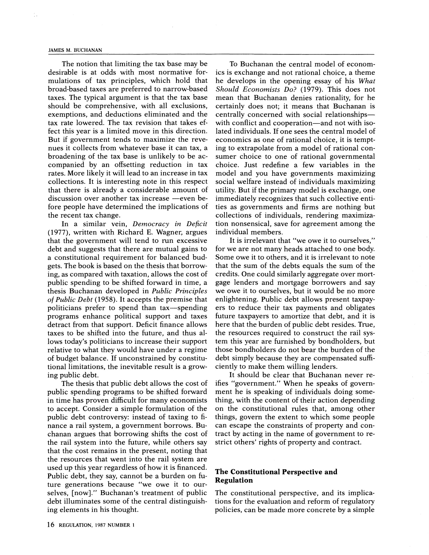#### JAMES M. BUCHANAN

The notion that limiting the tax base may be desirable is at odds with most normative formulations of tax principles, which hold that broad-based taxes are preferred to narrow-based taxes. The typical argument is that the tax base should be comprehensive, with all exclusions, exemptions, and deductions eliminated and the tax rate lowered. The tax revision that takes effect this year is a limited move in this direction. But if government tends to maximize the revenues it collects from whatever base it can tax, a broadening of the tax base is unlikely to be accompanied by an offsetting reduction in tax rates. More likely it will lead to an increase in tax collections. It is interesting note in this respect that there is already a considerable amount of discussion over another tax increase -even before people have determined the implications of the recent tax change.

In a similar vein, Democracy in Deficit (1977), written with Richard E. Wagner, argues that the government will tend to run excessive debt and suggests that there are mutual gains to a constitutional requirement for balanced budgets. The book is based on the thesis that borrowing, as compared with taxation, allows the cost of public spending to be shifted forward in time, a thesis Buchanan developed in Public Principles of Public Debt (1958). It accepts the premise that politicians prefer to spend than tax-spending programs enhance political support and taxes detract from that support. Deficit finance allows taxes to be shifted into the future, and thus allows today's politicians to increase their support relative to what they would have under a regime of budget balance. If unconstrained by constitutional limitations, the inevitable result is a growing public debt.

The thesis that public debt allows the cost of public spending programs to be shifted forward in time has proven difficult for many economists to accept. Consider a simple formulation of the public debt controversy: instead of taxing to finance a rail system, a government borrows. Buchanan argues that borrowing shifts the cost of the rail system into the future, while others say that the cost remains in the present, noting that the resources that went into the rail system are used up this year regardless of how it is financed. Public debt, they say, cannot be a burden on future generations because "we owe it to ourselves, [now]." Buchanan's treatment of public debt illuminates some of the central distinguishing elements in his thought.

To Buchanan the central model of economics is exchange and not rational choice, a theme he develops in the opening essay of his What Should Economists Do? (1979). This does not mean that Buchanan denies rationality, for he certainly does not; it means that Buchanan is centrally concerned with social relationshipswith conflict and cooperation—and not with isolated individuals. If one sees the central model of economics as one of rational choice, it is tempting to extrapolate from a model of rational consumer choice to one of rational governmental choice. Just redefine a few variables in the model and you have governments maximizing social welfare instead of individuals maximizing utility. But if the primary model is exchange, one immediately recognizes that such collective entities as governments and firms are nothing but collections of individuals, rendering maximization nonsensical, save for agreement among the individual members.

It is irrelevant that "we owe it to ourselves," for we are not many heads attached to one body. Some owe it to others, and it is irrelevant to note that the sum of the debts equals the sum of the credits. One could similarly aggregate over mortgage lenders and mortgage borrowers and say we owe it to ourselves, but it would be no more enlightening. Public debt allows present taxpayers to reduce their tax payments and obligates future taxpayers to amortize that debt, and it is here that the burden of public debt resides. True, the resources required to construct the rail system this year are furnished by bondholders, but those bondholders do not bear the burden of the debt simply because they are compensated sufficiently to make them willing lenders.

It should be clear that Buchanan never reifies "government." When he speaks of government he is speaking of individuals doing something, with the content of their action depending on the constitutional rules that, among other things, govern the extent to which some people can escape the constraints of property and contract by acting in the name of government to restrict others' rights of property and contract.

## The Constitutional Perspective and Regulation

The constitutional perspective, and its implications for the evaluation and reform of regulatory policies, can be made more concrete by a simple